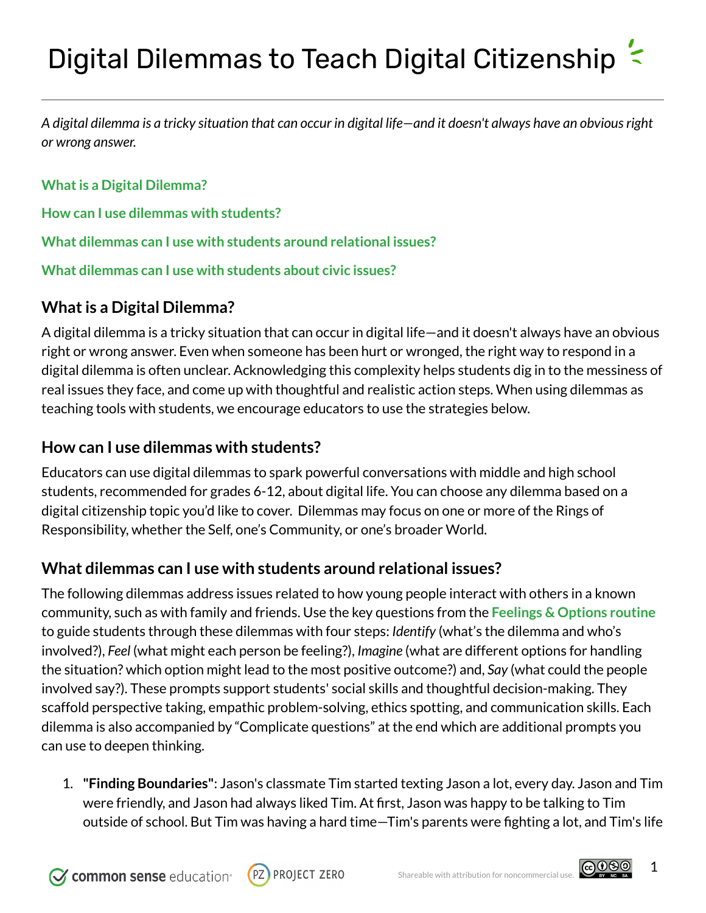A digital dilemma is a tricky situation that can occur in digital life—and it doesn't always have an obvious right *or wrong answer.*

**Whatis a Digital [Dilemma?](#page-0-0)**

**How can I use dilemmas with [students?](#page-0-1)**

**What dilemmas can I use with students around [relational](#page-0-2) issues?**

**What [dilemmas](#page-5-0) can I use with students about civic issues?**

## <span id="page-0-0"></span>**What is a Digital Dilemma?**

A digital dilemma is a tricky situation that can occur in digital life—and it doesn't always have an obvious right or wrong answer. Even when someone has been hurt or wronged, the right way to respond in a digital dilemma is often unclear. Acknowledging this complexity helps students dig in to the messiness of real issues they face, and come up with thoughtful and realistic action steps. When using dilemmas as teaching tools with students, we encourage educators to use the strategies below.

## <span id="page-0-1"></span>**How can I use dilemmas with students?**

Educators can use digital dilemmas to spark powerful conversations with middle and high school students, recommended for grades 6-12, about digital life. You can choose any dilemma based on a digital citizenship topic you'd like to cover. Dilemmas may focus on one or more of the Rings of Responsibility, whether the Self, one's Community, or one's broader World.

## <span id="page-0-2"></span>**What dilemmas can I use with students around relational issues?**

The following dilemmas address issues related to how young people interact with others in a known community, such as with family and friends. Use the key questions from the **[Feelings](https://docs.google.com/document/d/1nBGNP1IrA_9cXA6aCHJQ2lZmYrQAXeXL1BCTy2SpHoc/edit#) & Options routine** to guide students through these dilemmas with four steps: *Identify* (what's the dilemma and who's involved?), *Feel* (what might each person be feeling?), *Imagine* (what are different options for handling the situation? which option might lead to the most positive outcome?) and, *Say* (what could the people involved say?). These prompts support students' social skills and thoughtful decision-making. They scaffold perspective taking, empathic problem-solving, ethics spotting, and communication skills. Each dilemma is also accompanied by "Complicate questions" at the end which are additional prompts you can use to deepen thinking.

1. **"Finding Boundaries"**: Jason's classmate Tim started texting Jason a lot, every day. Jason and Tim were friendly, and Jason had always liked Tim. At first, Jason was happy to be talking to Tim outside of school. But Tim was having a hard time—Tim's parents were fighting a lot, and Tim's life





1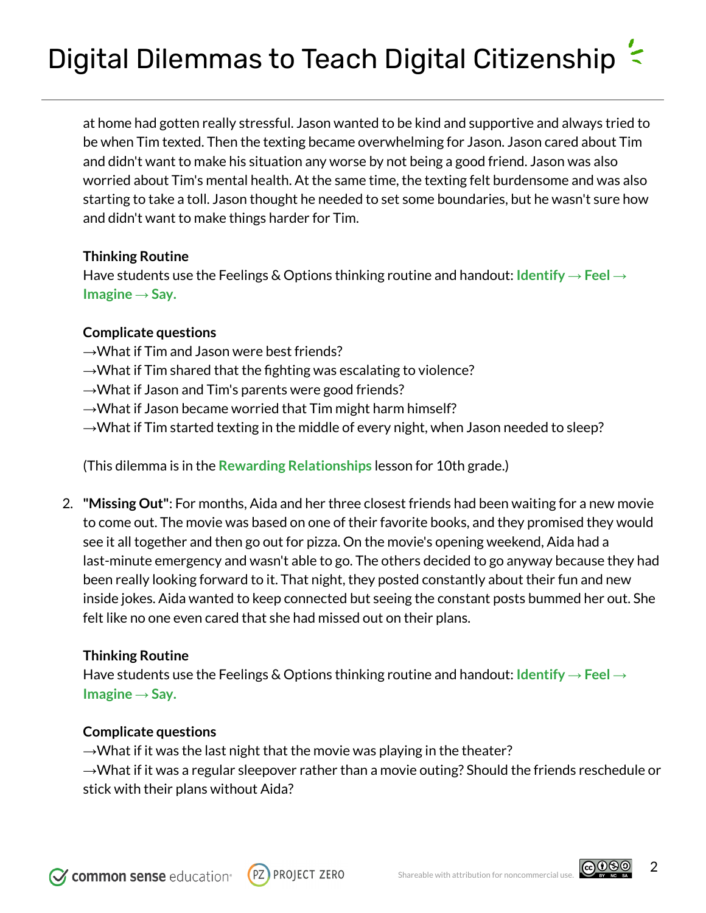at home had gotten really stressful. Jason wanted to be kind and supportive and always tried to be when Tim texted. Then the texting became overwhelming for Jason. Jason cared about Tim and didn't want to make his situation any worse by not being a good friend. Jason was also worried about Tim's mental health. At the same time, the texting felt burdensome and was also starting to take a toll. Jason thought he needed to set some boundaries, but he wasn't sure how and didn't want to make things harder for Tim.

#### **Thinking Routine**

Have students use the Feelings & Options thinking routine and handout: **[Identify](https://docs.google.com/document/d/1tteEuTOs_w09pQ7bhUnp5lGNoQJGGXULyDZYyfc63xc/edit) → Feel → [Imagine](https://docs.google.com/document/d/1tteEuTOs_w09pQ7bhUnp5lGNoQJGGXULyDZYyfc63xc/edit) → Say.**

#### **Complicate questions**

- →What if Tim and Jason were best friends?
- $\rightarrow$ What if Tim shared that the fighting was escalating to violence?
- $\rightarrow$ What if Jason and Tim's parents were good friends?
- $\rightarrow$ What if Jason became worried that Tim might harm himself?
- $\rightarrow$ What if Tim started texting in the middle of every night, when Jason needed to sleep?

(This dilemma is in the **Rewarding [Relationships](https://www.commonsense.org/education/digital-citizenship/lesson/rewarding-relationships)** lesson for 10th grade.)

2. **"Missing Out"**: For months, Aida and her three closest friends had been waiting for a new movie to come out. The movie was based on one of their favorite books, and they promised they would see it all together and then go out for pizza. On the movie's opening weekend, Aida had a last-minute emergency and wasn't able to go. The others decided to go anyway because they had been really looking forward to it. That night, they posted constantly about their fun and new inside jokes. Aida wanted to keep connected but seeing the constant posts bummed her out. She felt like no one even cared that she had missed out on their plans.

#### **Thinking Routine**

Have students use the Feelings & Options thinking routine and handout: **[Identify](https://docs.google.com/document/d/1tteEuTOs_w09pQ7bhUnp5lGNoQJGGXULyDZYyfc63xc/edit) → Feel → [Imagine](https://docs.google.com/document/d/1tteEuTOs_w09pQ7bhUnp5lGNoQJGGXULyDZYyfc63xc/edit) → Say.**

#### **Complicate questions**

 $\rightarrow$ What if it was the last night that the movie was playing in the theater?  $\rightarrow$ What if it was a regular sleepover rather than a movie outing? Should the friends reschedule or stick with their plans without Aida?

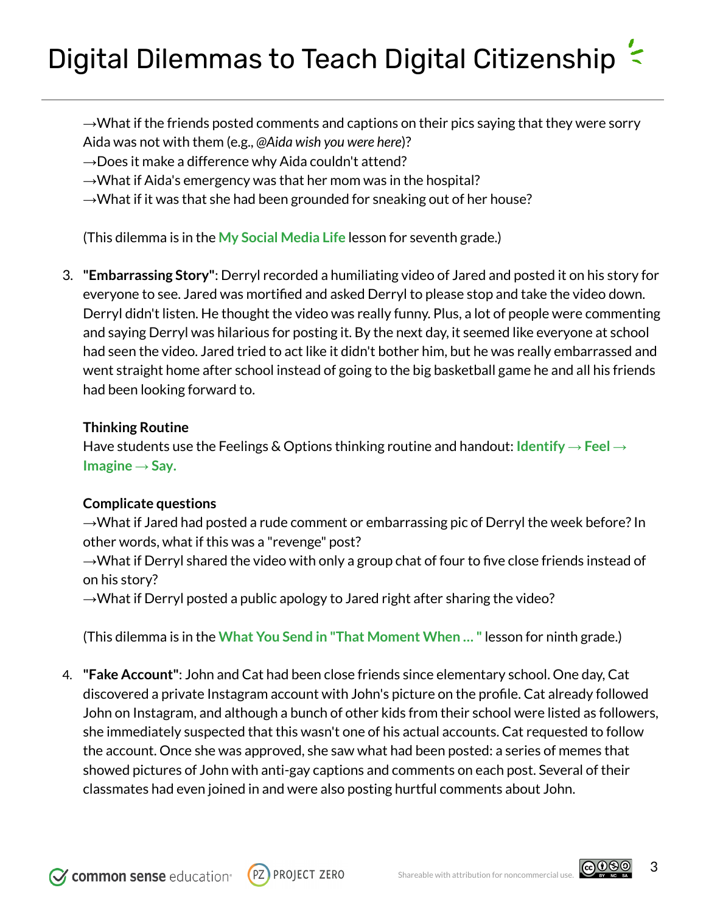$\rightarrow$ What if the friends posted comments and captions on their pics saying that they were sorry Aida was not with them (e.g., *@Aida wish you were here*)?

 $\rightarrow$ Does it make a difference why Aida couldn't attend?

 $\rightarrow$ What if Aida's emergency was that her mom was in the hospital?

 $\rightarrow$ What if it was that she had been grounded for sneaking out of her house?

(This dilemma is in the **My Social [Media](https://www.commonsense.org/education/digital-citizenship/lesson/my-social-media-life) Life** lesson for seventh grade.)

3. **"Embarrassing Story"**: Derryl recorded a humiliating video of Jared and posted it on his story for everyone to see. Jared was mortified and asked Derryl to please stop and take the video down. Derryl didn't listen. He thought the video was really funny. Plus, a lot of people were commenting and saying Derryl was hilarious for posting it. By the next day, it seemed like everyone at school had seen the video. Jared tried to act like it didn't bother him, but he was really embarrassed and went straight home after school instead of going to the big basketball game he and all his friends had been looking forward to.

#### **Thinking Routine**

Have students use the Feelings & Options thinking routine and handout: **[Identify](https://docs.google.com/document/d/1tteEuTOs_w09pQ7bhUnp5lGNoQJGGXULyDZYyfc63xc/edit) → Feel → [Imagine](https://docs.google.com/document/d/1tteEuTOs_w09pQ7bhUnp5lGNoQJGGXULyDZYyfc63xc/edit) → Say.**

#### **Complicate questions**

 $\rightarrow$ What if Jared had posted a rude comment or embarrassing pic of Derryl the week before? In other words, what if this was a "revenge" post?

 $\rightarrow$ What if Derryl shared the video with only a group chat of four to five close friends instead of on his story?

 $\rightarrow$ What if Derryl posted a public apology to Jared right after sharing the video?

(This dilemma is in the **What You Send in "That [Moment](https://www.commonsense.org/education/digital-citizenship/lesson/what-you-send-in-that-moment-when) When … "** lesson for ninth grade.)

4. **"Fake Account"**: John and Cat had been close friends since elementary school. One day, Cat discovered a private Instagram account with John's picture on the profile. Cat already followed John on Instagram, and although a bunch of other kids from their school were listed as followers, she immediately suspected that this wasn't one of his actual accounts. Cat requested to follow the account. Once she was approved, she saw what had been posted: a series of memes that showed pictures of John with anti-gay captions and comments on each post. Several of their classmates had even joined in and were also posting hurtful comments about John.

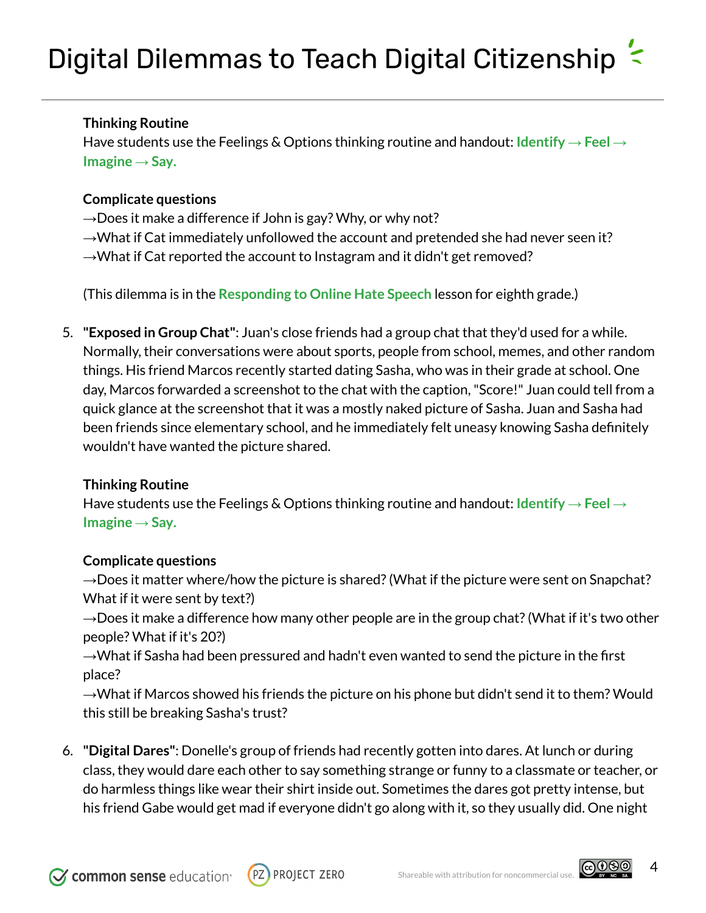### **Thinking Routine**

Have students use the Feelings & Options thinking routine and handout: **[Identify](https://docs.google.com/document/d/1tteEuTOs_w09pQ7bhUnp5lGNoQJGGXULyDZYyfc63xc/edit) → Feel → [Imagine](https://docs.google.com/document/d/1tteEuTOs_w09pQ7bhUnp5lGNoQJGGXULyDZYyfc63xc/edit) → Say.**

### **Complicate questions**

 $\rightarrow$  Does it make a difference if John is gay? Why, or why not?  $\rightarrow$ What if Cat immediately unfollowed the account and pretended she had never seen it?  $\rightarrow$ What if Cat reported the account to Instagram and it didn't get removed?

(This dilemma is in the **[Responding](https://www.commonsense.org/education/digital-citizenship/lesson/responding-to-online-hate-speech) to Online Hate Speech** lesson for eighth grade.)

5. **"Exposed in Group Chat"**: Juan's close friends had a group chat that they'd used for a while. Normally, their conversations were about sports, people from school, memes, and other random things. His friend Marcos recently started dating Sasha, who was in their grade at school. One day, Marcos forwarded a screenshot to the chat with the caption,"Score!" Juan could tell from a quick glance at the screenshot that it was a mostly naked picture of Sasha. Juan and Sasha had been friends since elementary school, and he immediately felt uneasy knowing Sasha definitely wouldn't have wanted the picture shared.

### **Thinking Routine**

Have students use the Feelings & Options thinking routine and handout: **[Identify](https://docs.google.com/document/d/1tteEuTOs_w09pQ7bhUnp5lGNoQJGGXULyDZYyfc63xc/edit) → Feel → [Imagine](https://docs.google.com/document/d/1tteEuTOs_w09pQ7bhUnp5lGNoQJGGXULyDZYyfc63xc/edit) → Say.**

### **Complicate questions**

 $\rightarrow$ Does it matter where/how the picture is shared? (What if the picture were sent on Snapchat? What if it were sent by text?)

 $\rightarrow$ Does it make a difference how many other people are in the group chat? (What if it's two other people? What if it's 20?)

 $\rightarrow$ What if Sasha had been pressured and hadn't even wanted to send the picture in the first place?

 $\rightarrow$ What if Marcos showed his friends the picture on his phone but didn't send it to them? Would this still be breaking Sasha's trust?

6. **"Digital Dares"**: Donelle's group of friends had recently gotten into dares. At lunch or during class, they would dare each other to say something strange or funny to a classmate or teacher, or do harmless things like wear their shirt inside out. Sometimes the dares got pretty intense, but his friend Gabe would get mad if everyone didn't go along with it, so they usually did. One night



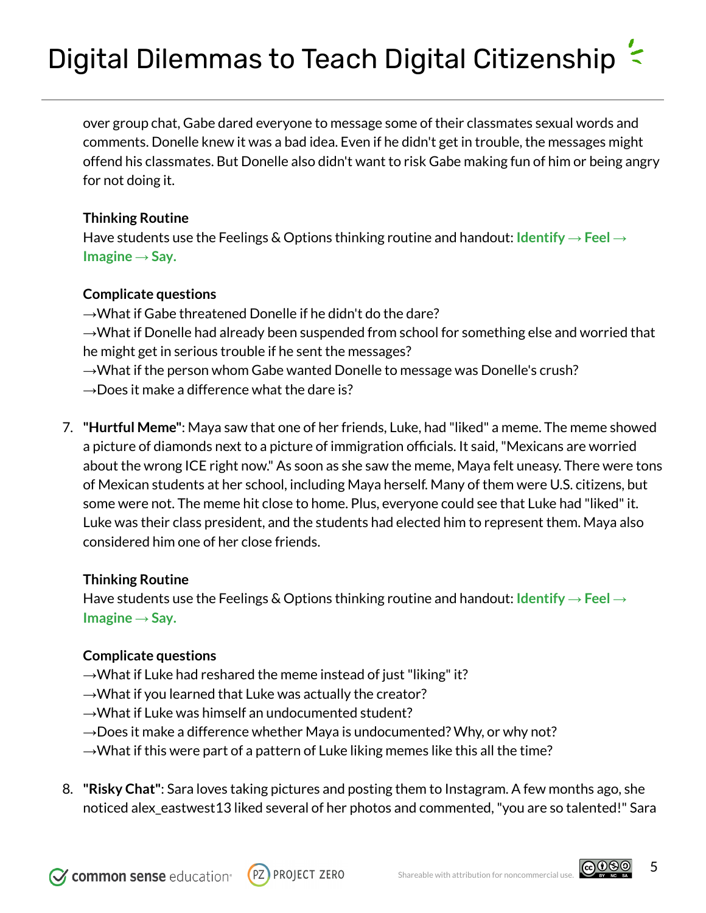over group chat, Gabe dared everyone to message some of their classmates sexual words and comments. Donelle knew it was a bad idea. Even if he didn't get in trouble, the messages might offend his classmates. But Donelle also didn't want to risk Gabe making fun of him or being angry for not doing it.

#### **Thinking Routine**

Have students use the Feelings & Options thinking routine and handout: **[Identify](https://docs.google.com/document/d/1tteEuTOs_w09pQ7bhUnp5lGNoQJGGXULyDZYyfc63xc/edit) → Feel → [Imagine](https://docs.google.com/document/d/1tteEuTOs_w09pQ7bhUnp5lGNoQJGGXULyDZYyfc63xc/edit) → Say.**

### **Complicate questions**

 $\rightarrow$ What if Gabe threatened Donelle if he didn't do the dare? →What if Donelle had already been suspended from school for something else and worried that he might get in serious trouble if he sent the messages?  $\rightarrow$ What if the person whom Gabe wanted Donelle to message was Donelle's crush?

- $\rightarrow$ Does it make a difference what the dare is?
- 7. **"Hurtful Meme"**: Maya saw that one of her friends, Luke, had "liked" a meme. The meme showed a picture of diamonds next to a picture of immigration officials. It said,"Mexicans are worried about the wrong ICE right now." As soon as she saw the meme, Maya felt uneasy. There were tons of Mexican students at her school, including Maya herself. Many of them were U.S. citizens, but some were not. The meme hit close to home. Plus, everyone could see that Luke had "liked"it. Luke was their class president, and the students had elected him to represent them. Maya also considered him one of her close friends.

#### **Thinking Routine**

Have students use the Feelings & Options thinking routine and handout: **[Identify](https://docs.google.com/document/d/1tteEuTOs_w09pQ7bhUnp5lGNoQJGGXULyDZYyfc63xc/edit) → Feel → [Imagine](https://docs.google.com/document/d/1tteEuTOs_w09pQ7bhUnp5lGNoQJGGXULyDZYyfc63xc/edit) → Say.**

### **Complicate questions**

- $\rightarrow$ What if Luke had reshared the meme instead of just "liking" it?
- $\rightarrow$ What if you learned that Luke was actually the creator?
- →What if Luke was himself an undocumented student?
- $\rightarrow$ Does it make a difference whether Maya is undocumented? Why, or why not?
- $\rightarrow$ What if this were part of a pattern of Luke liking memes like this all the time?
- 8. **"Risky Chat"**: Sara loves taking pictures and posting them to Instagram. A few months ago, she noticed alex\_eastwest13 liked several of her photos and commented,"you are so talented!" Sara



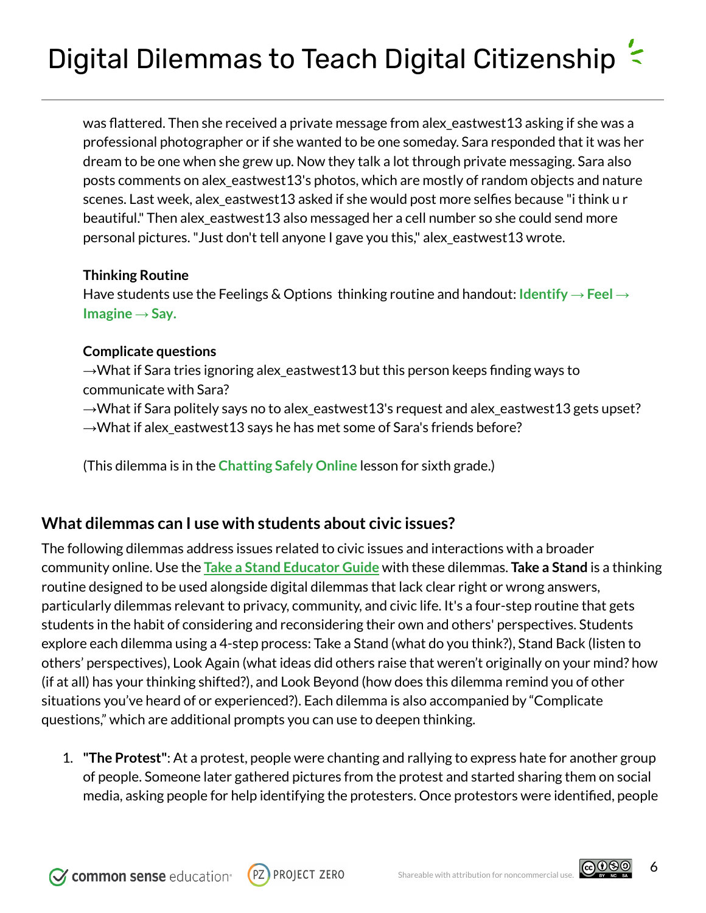was flattered. Then she received a private message from alex\_eastwest13 asking if she was a professional photographer or if she wanted to be one someday. Sara responded that it was her dream to be one when she grew up. Now they talk a lot through private messaging. Sara also posts comments on alex\_eastwest13's photos, which are mostly of random objects and nature scenes. Last week, alex\_eastwest13 asked if she would post more selfies because "i think u r beautiful." Then alex\_eastwest13 also messaged her a cell number so she could send more personal pictures."Just don't tell anyone I gave you this," alex\_eastwest13 wrote.

### **Thinking Routine**

Have students use the Feelings & Options thinking routine and handout: **[Identify](https://docs.google.com/document/d/1tteEuTOs_w09pQ7bhUnp5lGNoQJGGXULyDZYyfc63xc/edit) → Feel → [Imagine](https://docs.google.com/document/d/1tteEuTOs_w09pQ7bhUnp5lGNoQJGGXULyDZYyfc63xc/edit) → Say.**

### **Complicate questions**

 $\rightarrow$ What if Sara tries ignoring alex\_eastwest13 but this person keeps finding ways to communicate with Sara? →What if Sara politely says no to alex\_eastwest13's request and alex\_eastwest13 gets upset?  $\rightarrow$ What if alex\_eastwest13 says he has met some of Sara's friends before?

(This dilemma is in the **[Chatting](https://www.commonsense.org/education/digital-citizenship/lesson/chatting-safely-online) Safely Online** lesson for sixth grade.)

## <span id="page-5-0"></span>**What dilemmas can I use with students about civic issues?**

The following dilemmas address issues related to civic issues and interactions with a broader community online. Use the **Take a Stand [Educator](https://docs.google.com/document/d/1g46pjx_XNhafYcHqsVSL9C5Dz5ntpxVxsV8Em7w-ZpY/edit?usp=sharing) Guide** with these dilemmas. **Take a Stand** is a thinking routine designed to be used alongside digital dilemmas that lack clear right or wrong answers, particularly dilemmas relevant to privacy, community, and civic life. It's a four-step routine that gets students in the habit of considering and reconsidering their own and others' perspectives. Students explore each dilemma using a 4-step process: Take a Stand (what do you think?), Stand Back (listen to others' perspectives), Look Again (what ideas did others raise that weren't originally on your mind? how (if at all) has your thinking shifted?), and Look Beyond (how does this dilemma remind you of other situations you've heard of or experienced?). Each dilemma is also accompanied by "Complicate questions," which are additional prompts you can use to deepen thinking.

1. **"The Protest"**: At a protest, people were chanting and rallying to express hate for another group of people. Someone later gathered pictures from the protest and started sharing them on social media, asking people for help identifying the protesters. Once protestors were identified, people





6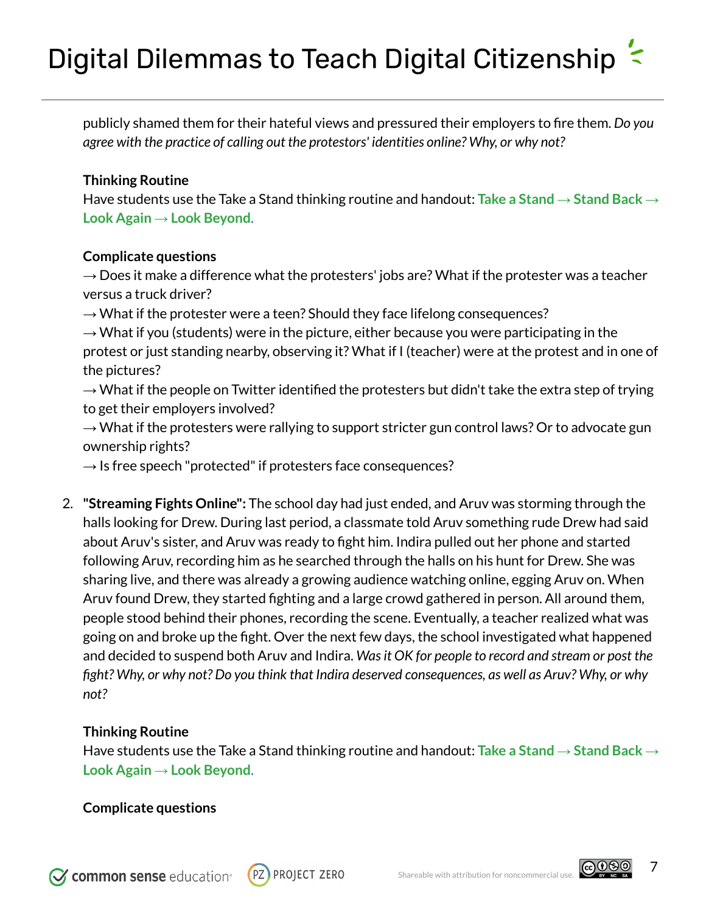publicly shamed them for their hateful views and pressured their employers to fire them. *Do you agree with the practice of calling out the protestors' identities online? Why, or why not?*

#### **Thinking Routine**

Have students use the Take a Stand thinking routine and handout: **Take a Stand → [Stand](https://docs.google.com/document/d/1Rix9eaTA75B2SO8HgzH7XTKxLRskd3OTooPHcm1dDjY/edit?usp=sharing) Back → Look Again → Look [Beyond](https://docs.google.com/document/d/1Rix9eaTA75B2SO8HgzH7XTKxLRskd3OTooPHcm1dDjY/edit?usp=sharing)**.

#### **Complicate questions**

*→* Does it make a difference what the protesters' jobs are? What if the protester was a teacher versus a truck driver?

 $\rightarrow$  What if the protester were a teen? Should they face lifelong consequences?

 $\rightarrow$  What if you (students) were in the picture, either because you were participating in the protest or just standing nearby, observing it? What if I (teacher) were at the protest and in one of the pictures?

 $\rightarrow$  What if the people on Twitter identified the protesters but didn't take the extra step of trying to get their employers involved?

 $\rightarrow$  What if the protesters were rallying to support stricter gun control laws? Or to advocate gun ownership rights?

 $\rightarrow$  Is free speech "protected" if protesters face consequences?

2. **"Streaming Fights Online":** The school day had just ended, and Aruv was storming through the halls looking for Drew. During last period, a classmate told Aruv something rude Drew had said about Aruv's sister, and Aruv was ready to fight him. Indira pulled out her phone and started following Aruv, recording him as he searched through the halls on his hunt for Drew. She was sharing live, and there was already a growing audience watching online, egging Aruv on. When Aruv found Drew, they started fighting and a large crowd gathered in person. All around them, people stood behind their phones, recording the scene. Eventually, a teacher realized what was going on and broke up the fight. Over the next few days, the school investigated what happened and decided to suspend both Aruv and Indira. *Wasit OK for people to record and stream or post the* fight? Why, or why not? Do you think that Indira deserved consequences, as well as Aruv? Why, or why *not?*

#### **Thinking Routine**

Have students use the Take a Stand thinking routine and handout: **Take a Stand → [Stand](https://docs.google.com/document/d/1Rix9eaTA75B2SO8HgzH7XTKxLRskd3OTooPHcm1dDjY/edit?usp=sharing) Back → Look Again → Look [Beyond](https://docs.google.com/document/d/1Rix9eaTA75B2SO8HgzH7XTKxLRskd3OTooPHcm1dDjY/edit?usp=sharing)**.

#### **Complicate questions**



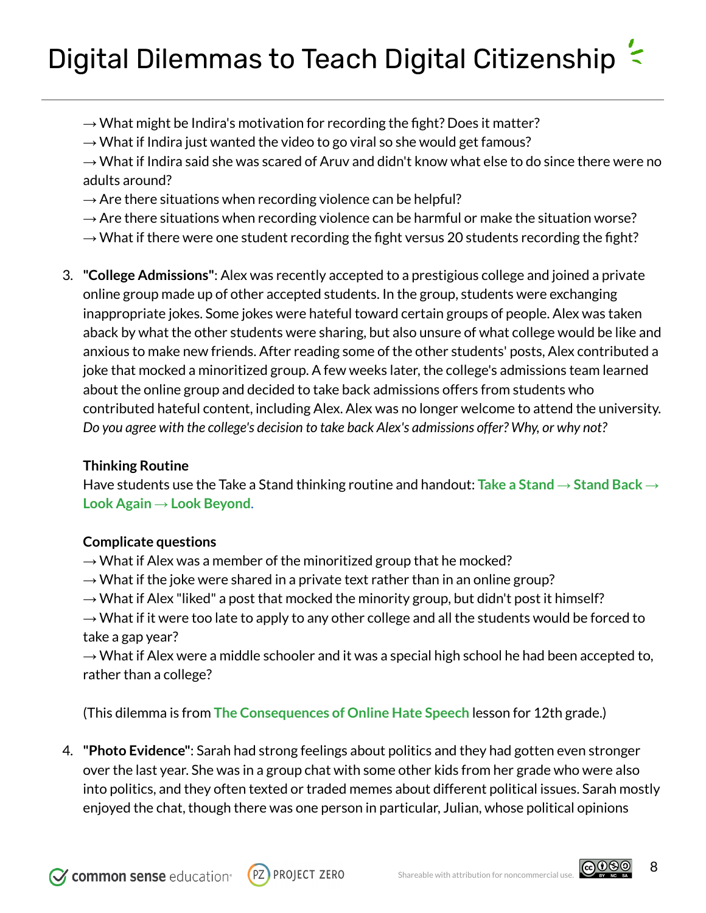- $\rightarrow$  What might be Indira's motivation for recording the fight? Does it matter?
- $\rightarrow$  What if Indira just wanted the video to go viral so she would get famous?

 $\rightarrow$  What if Indira said she was scared of Aruv and didn't know what else to do since there were no adults around?

- $\rightarrow$  Are there situations when recording violence can be helpful?
- $\rightarrow$  Are there situations when recording violence can be harmful or make the situation worse?
- $\rightarrow$  What if there were one student recording the fight versus 20 students recording the fight?
- 3. **"College Admissions"**: Alex was recently accepted to a prestigious college and joined a private online group made up of other accepted students. In the group, students were exchanging inappropriate jokes. Some jokes were hateful toward certain groups of people. Alex was taken aback by what the other students were sharing, but also unsure of what college would be like and anxious to make new friends. After reading some of the other students' posts, Alex contributed a joke that mocked a minoritized group. A few weeks later, the college's admissions team learned about the online group and decided to take back admissions offers from students who contributed hateful content, including Alex. Alex was no longer welcome to attend the university. *Do you agree with the college's decision to take back Alex's admissions offer? Why, or why not?*

### **Thinking Routine**

Have students use the Take a Stand thinking routine and handout: **Take a Stand → [Stand](https://docs.google.com/document/d/1Rix9eaTA75B2SO8HgzH7XTKxLRskd3OTooPHcm1dDjY/edit?usp=sharing) Back → Look Again → Look [Beyond](https://docs.google.com/document/d/1Rix9eaTA75B2SO8HgzH7XTKxLRskd3OTooPHcm1dDjY/edit?usp=sharing)**.

#### **Complicate questions**

- $\rightarrow$  What if Alex was a member of the minoritized group that he mocked?
- $\rightarrow$  What if the joke were shared in a private text rather than in an online group?
- $\rightarrow$  What if Alex "liked" a post that mocked the minority group, but didn't post it himself?

 $\rightarrow$  What if it were too late to apply to any other college and all the students would be forced to take a gap year?

 $\rightarrow$  What if Alex were a middle schooler and it was a special high school he had been accepted to, rather than a college?

(This dilemma is from **The [Consequences](https://www.commonsense.org/education/digital-citizenship/lesson/the-consequences-of-online-hate-speech) of Online Hate Speech** lesson for 12th grade.)

4. **"Photo Evidence"**: Sarah had strong feelings about politics and they had gotten even stronger over the last year. She was in a group chat with some other kids from her grade who were also into politics, and they often texted or traded memes about different political issues. Sarah mostly enjoyed the chat, though there was one person in particular, Julian, whose political opinions



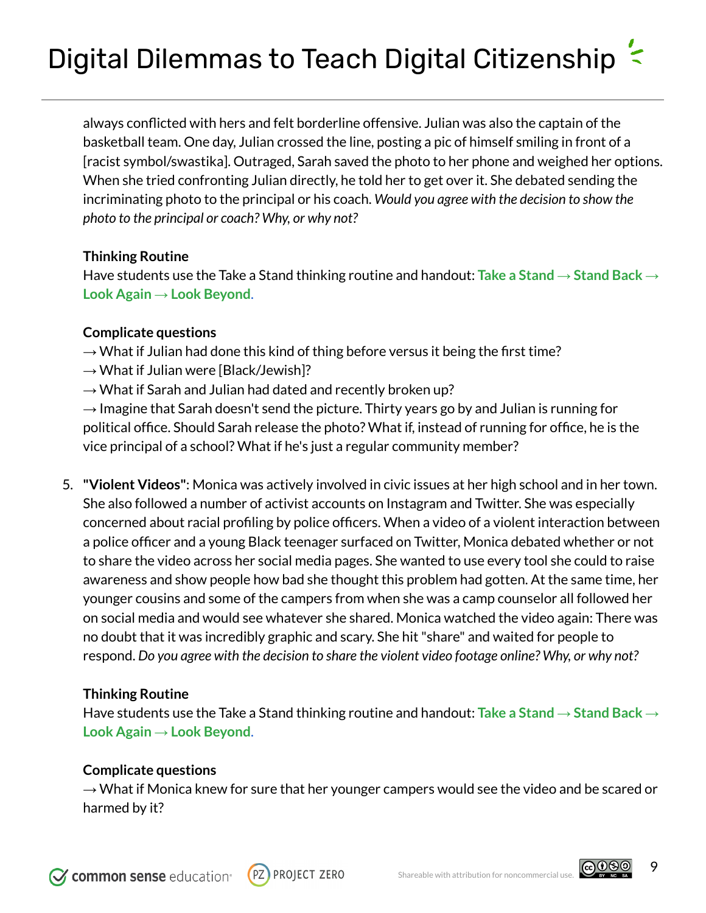always conflicted with hers and felt borderline offensive. Julian was also the captain of the basketball team. One day, Julian crossed the line, posting a pic of himself smiling in front of a [racist symbol/swastika]. Outraged, Sarah saved the photo to her phone and weighed her options. When she tried confronting Julian directly, he told her to get over it. She debated sending the incriminating photo to the principal or his coach. *Would you agree with the decision to show the photo to the principal or coach? Why, or why not?*

#### **Thinking Routine**

Have students use the Take a Stand thinking routine and handout: **Take a Stand → [Stand](https://docs.google.com/document/d/1Rix9eaTA75B2SO8HgzH7XTKxLRskd3OTooPHcm1dDjY/edit?usp=sharing) Back → Look Again → Look [Beyond](https://docs.google.com/document/d/1Rix9eaTA75B2SO8HgzH7XTKxLRskd3OTooPHcm1dDjY/edit?usp=sharing)**.

#### **Complicate questions**

- $\rightarrow$  What if Julian had done this kind of thing before versus it being the first time?
- $\rightarrow$  What if Julian were [Black/Jewish]?
- $\rightarrow$  What if Sarah and Julian had dated and recently broken up?

 $\rightarrow$  Imagine that Sarah doesn't send the picture. Thirty years go by and Julian is running for political office. Should Sarah release the photo? What if, instead of running for office, he is the vice principal of a school? What if he's just a regular community member?

5. **"Violent Videos"**: Monica was actively involved in civic issues at her high school and in her town. She also followed a number of activist accounts on Instagram and Twitter. She was especially concerned about racial profiling by police officers. When a video of a violent interaction between a police officer and a young Black teenager surfaced on Twitter, Monica debated whether or not to share the video across her social media pages. She wanted to use every tool she could to raise awareness and show people how bad she thought this problem had gotten. At the same time, her younger cousins and some of the campers from when she was a camp counselor all followed her on social media and would see whatever she shared. Monica watched the video again: There was no doubt that it was incredibly graphic and scary. She hit"share" and waited for people to respond. *Do you agree with the decision to share the violent video footage online? Why, or why not?*

#### **Thinking Routine**

Have students use the Take a Stand thinking routine and handout: **Take a Stand → [Stand](https://docs.google.com/document/d/1Rix9eaTA75B2SO8HgzH7XTKxLRskd3OTooPHcm1dDjY/edit?usp=sharing) Back → Look Again → Look [Beyond](https://docs.google.com/document/d/1Rix9eaTA75B2SO8HgzH7XTKxLRskd3OTooPHcm1dDjY/edit?usp=sharing)**.

#### **Complicate questions**

 $\rightarrow$  What if Monica knew for sure that her younger campers would see the video and be scared or harmed by it?





9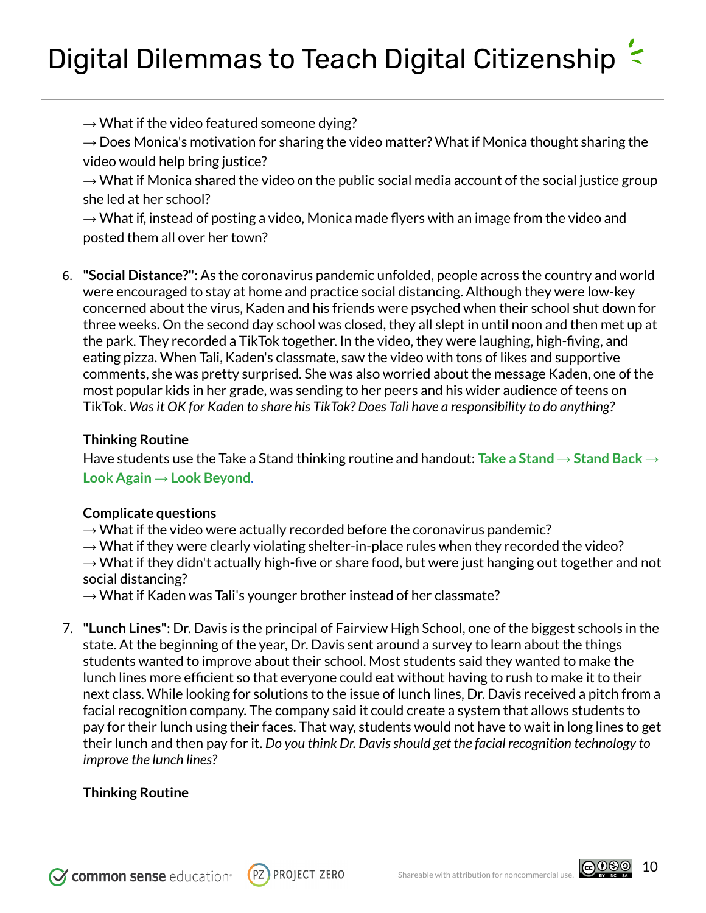$\rightarrow$  What if the video featured someone dying?

 $\rightarrow$  Does Monica's motivation for sharing the video matter? What if Monica thought sharing the video would help bring justice?

 $\rightarrow$  What if Monica shared the video on the public social media account of the social justice group she led at her school?

 $\rightarrow$  What if, instead of posting a video, Monica made flyers with an image from the video and posted them all over her town?

6. **"Social Distance?"**: As the coronavirus pandemic unfolded, people across the country and world were encouraged to stay at home and practice social distancing. Although they were low-key concerned about the virus, Kaden and his friends were psyched when their school shut down for three weeks. On the second day school was closed, they all slept in until noon and then met up at the park. They recorded a TikTok together. In the video, they were laughing, high-fiving, and eating pizza. When Tali, Kaden's classmate, saw the video with tons of likes and supportive comments, she was pretty surprised. She was also worried about the message Kaden, one of the most popular kids in her grade, was sending to her peers and his wider audience of teens on TikTok. *Wasit OK for Kaden to share his TikTok? Does Tali have a responsibility to do anything?*

### **Thinking Routine**

Have students use the Take a Stand thinking routine and handout: **Take a Stand → [Stand](https://docs.google.com/document/d/1Rix9eaTA75B2SO8HgzH7XTKxLRskd3OTooPHcm1dDjY/edit?usp=sharing) Back → Look Again → Look [Beyond](https://docs.google.com/document/d/1Rix9eaTA75B2SO8HgzH7XTKxLRskd3OTooPHcm1dDjY/edit?usp=sharing)**.

#### **Complicate questions**

**→** What if the video were actually recorded before the coronavirus pandemic?

 $\rightarrow$  What if they were clearly violating shelter-in-place rules when they recorded the video?

 $\rightarrow$  What if they didn't actually high-five or share food, but were just hanging out together and not social distancing?

 $\rightarrow$  What if Kaden was Tali's younger brother instead of her classmate?

7. **"Lunch Lines"**: Dr. Davis is the principal of Fairview High School, one of the biggest schools in the state. At the beginning of the year, Dr. Davis sent around a survey to learn about the things students wanted to improve about their school. Most students said they wanted to make the lunch lines more efficient so that everyone could eat without having to rush to make it to their next class. While looking for solutions to the issue of lunch lines, Dr. Davis received a pitch from a facial recognition company. The company said it could create a system that allows students to pay for their lunch using their faces. That way, students would not have to wait in long lines to get their lunch and then pay for it. *Do you think Dr. Davisshould get the facial recognition technology to improve the lunch lines?*

### **Thinking Routine**

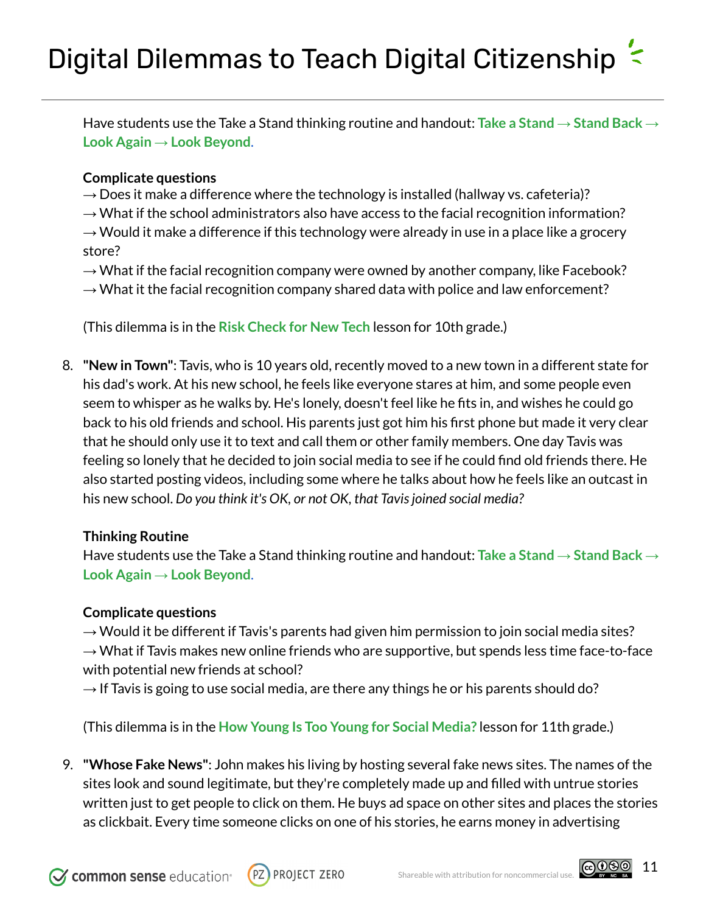Have students use the Take a Stand thinking routine and handout: **Take a Stand → [Stand](https://docs.google.com/document/d/1Rix9eaTA75B2SO8HgzH7XTKxLRskd3OTooPHcm1dDjY/edit?usp=sharing) Back → Look Again → Look [Beyond](https://docs.google.com/document/d/1Rix9eaTA75B2SO8HgzH7XTKxLRskd3OTooPHcm1dDjY/edit?usp=sharing)**.

#### **Complicate questions**

- **→** Does it make a difference where the technology is installed (hallway vs. cafeteria)?
- **→** What if the school administrators also have access to the facial recognition information?

**→** Would it make a difference if this technology were already in use in a place like a grocery store?

- **→** What if the facial recognition company were owned by another company, like Facebook?
- → What it the facial recognition company shared data with police and law enforcement?

(This dilemma is in the **Risk [Check](https://www.commonsense.org/education/digital-citizenship/lesson/risk-check-for-new-tech) for New Tech** lesson for 10th grade.)

8. **"New in Town"**: Tavis, who is 10 years old, recently moved to a new town in a different state for his dad's work. At his new school, he feels like everyone stares at him, and some people even seem to whisper as he walks by. He's lonely, doesn't feel like he fits in, and wishes he could go back to his old friends and school. His parents just got him his first phone but made it very clear that he should only use it to text and call them or other family members. One day Tavis was feeling so lonely that he decided to join social media to see if he could find old friends there. He also started posting videos, including some where he talks about how he feels like an outcast in his new school. *Do you think it's OK, or not OK, that Tavisjoined social media?*

#### **Thinking Routine**

Have students use the Take a Stand thinking routine and handout: **Take a Stand → [Stand](https://docs.google.com/document/d/1Rix9eaTA75B2SO8HgzH7XTKxLRskd3OTooPHcm1dDjY/edit?usp=sharing) Back → Look Again → Look [Beyond](https://docs.google.com/document/d/1Rix9eaTA75B2SO8HgzH7XTKxLRskd3OTooPHcm1dDjY/edit?usp=sharing)**.

#### **Complicate questions**

**→** Would it be different if Tavis's parents had given him permission to join social media sites? **→** What if Tavis makes new online friends who are supportive, but spends less time face-to-face with potential new friends at school?

→ If Tavis is going to use social media, are there any things he or his parents should do?

(This dilemma is in the **How Young Is Too Young for Social [Media?](https://www.commonsense.org/education/digital-citizenship/lesson/how-young-is-too-young-for-social-media)** lesson for 11th grade.)

9. **"Whose Fake News"**: John makes his living by hosting several fake news sites. The names of the sites look and sound legitimate, but they're completely made up and filled with untrue stories written just to get people to click on them. He buys ad space on other sites and places the stories as clickbait. Every time someone clicks on one of his stories, he earns money in advertising